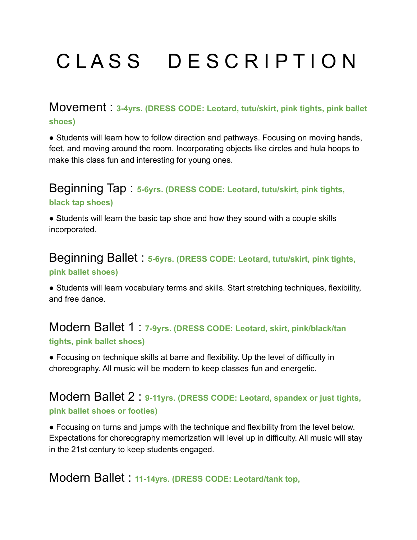# CLASS DESCRIPTION

## Movement : **3-4yrs. (DRESS CODE: Leotard, tutu/skirt, pink tights, pink ballet shoes)**

• Students will learn how to follow direction and pathways. Focusing on moving hands, feet, and moving around the room. Incorporating objects like circles and hula hoops to make this class fun and interesting for young ones.

## Beginning Tap : **5-6yrs. (DRESS CODE: Leotard, tutu/skirt, pink tights, black tap shoes)**

• Students will learn the basic tap shoe and how they sound with a couple skills incorporated.

## Beginning Ballet : **5-6yrs. (DRESS CODE: Leotard, tutu/skirt, pink tights, pink ballet shoes)**

● Students will learn vocabulary terms and skills. Start stretching techniques, flexibility, and free dance.

## Modern Ballet 1 : **7-9yrs. (DRESS CODE: Leotard, skirt, pink/black/tan tights, pink ballet shoes)**

● Focusing on technique skills at barre and flexibility. Up the level of difficulty in choreography. All music will be modern to keep classes fun and energetic.

## Modern Ballet 2 : **9-11yrs. (DRESS CODE: Leotard, spandex or just tights, pink ballet shoes or footies)**

● Focusing on turns and jumps with the technique and flexibility from the level below. Expectations for choreography memorization will level up in difficulty. All music will stay in the 21st century to keep students engaged.

# Modern Ballet : **11-14yrs. (DRESS CODE: Leotard/tank top,**